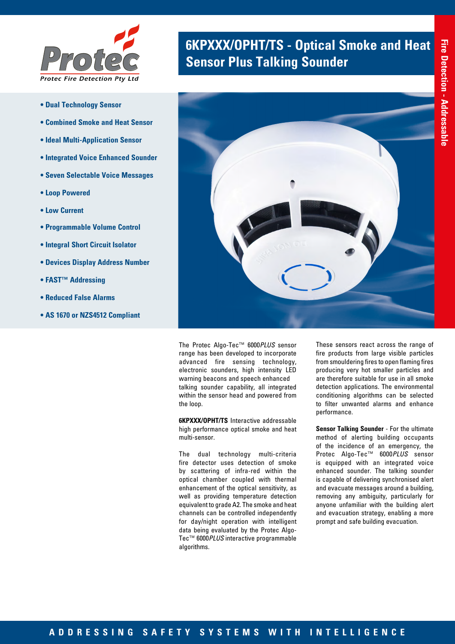

- **Dual Technology Sensor**
- **Combined Smoke and Heat Sensor**
- **Ideal Multi-Application Sensor**
- **Integrated Voice Enhanced Sounder**
- **Seven Selectable Voice Messages**
- **Loop Powered**
- **Low Current**
- **Programmable Volume Control**
- **Integral Short Circuit Isolator**
- **Devices Display Address Number**
- **FAST™ Addressing**
- **Reduced False Alarms**
- **AS 1670 or NZS4512 Compliant**

# **6KPXXX/OPHT/TS - Optical Smoke and Heat <br><b>Sensor Plus Talking Sounder**



The Protec Algo-Tec™ 6000*PLUS* sensor range has been developed to incorporate advanced fire sensing technology, electronic sounders, high intensity LED warning beacons and speech enhanced talking sounder capability, all integrated within the sensor head and powered from the loop.

**6KPXXX/OPHT/TS** Interactive addressable high performance optical smoke and heat multi-sensor.

The dual technology multi-criteria fire detector uses detection of smoke by scattering of infra-red within the optical chamber coupled with thermal enhancement of the optical sensitivity, as well as providing temperature detection equivalent to grade A2. The smoke and heat channels can be controlled independently for day/night operation with intelligent data being evaluated by the Protec Algo-Tec™ 6000*PLUS* interactive programmable algorithms.

These sensors react across the range of fire products from large visible particles from smouldering fires to open flaming fires producing very hot smaller particles and are therefore suitable for use in all smoke detection applications. The environmental conditioning algorithms can be selected to filter unwanted alarms and enhance performance.

**Sensor Talking Sounder** - For the ultimate method of alerting building occupants of the incidence of an emergency, the Protec Algo-Tec™ 6000*PLUS* sensor is equipped with an integrated voice enhanced sounder. The talking sounder is capable of delivering synchronised alert and evacuate messages around a building, removing any ambiguity, particularly for anyone unfamiliar with the building alert and evacuation strategy, enabling a more prompt and safe building evacuation.